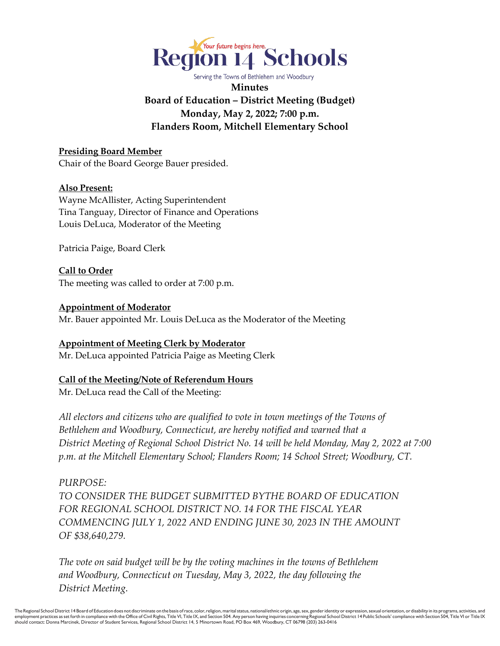

Serving the Towns of Bethlehem and Woodbury **Minutes Board of Education – District Meeting (Budget) Monday, May 2, 2022; 7:00 p.m. Flanders Room, Mitchell Elementary School** 

**Presiding Board Member** Chair of the Board George Bauer presided.

### **Also Present:**

Wayne McAllister, Acting Superintendent Tina Tanguay, Director of Finance and Operations Louis DeLuca, Moderator of the Meeting

Patricia Paige, Board Clerk

**Call to Order** The meeting was called to order at 7:00 p.m.

### **Appointment of Moderator**

Mr. Bauer appointed Mr. Louis DeLuca as the Moderator of the Meeting

**Appointment of Meeting Clerk by Moderator** Mr. DeLuca appointed Patricia Paige as Meeting Clerk

## **Call of the Meeting/Note of Referendum Hours**

Mr. DeLuca read the Call of the Meeting:

*All electors and citizens who are qualified to vote in town meetings of the Towns of Bethlehem and Woodbury, Connecticut, are hereby notified and warned that a District Meeting of Regional School District No. 14 will be held Monday, May 2, 2022 at 7:00 p.m. at the Mitchell Elementary School; Flanders Room; 14 School Street; Woodbury, CT.* 

*PURPOSE: TO CONSIDER THE BUDGET SUBMITTED BYTHE BOARD OF EDUCATION FOR REGIONAL SCHOOL DISTRICT NO. 14 FOR THE FISCAL YEAR COMMENCING JULY 1, 2022 AND ENDING JUNE 30, 2023 IN THE AMOUNT OF \$38,640,279.* 

*The vote on said budget will be by the voting machines in the towns of Bethlehem and Woodbury, Connecticut on Tuesday, May 3, 2022, the day following the District Meeting.*